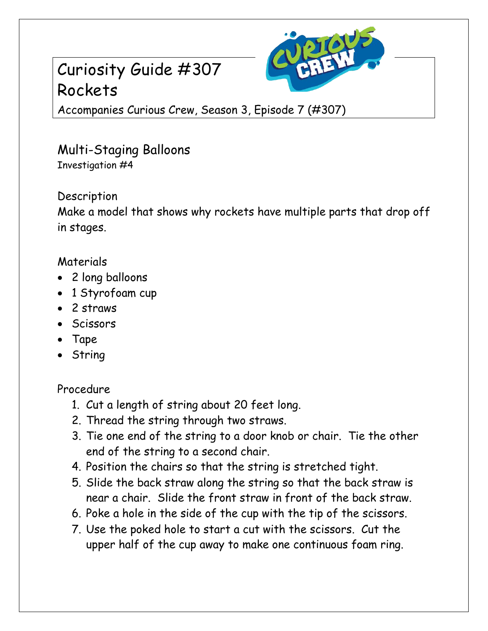# Curiosity Guide #307 Rockets



Accompanies Curious Crew, Season 3, Episode 7 (#307)

# Multi-Staging Balloons Investigation #4

Description

Make a model that shows why rockets have multiple parts that drop off in stages.

### Materials

- 2 long balloons
- 1 Styrofoam cup
- 2 straws
- Scissors
- Tape
- String

## Procedure

- 1. Cut a length of string about 20 feet long.
- 2. Thread the string through two straws.
- 3. Tie one end of the string to a door knob or chair. Tie the other end of the string to a second chair.
- 4. Position the chairs so that the string is stretched tight.
- 5. Slide the back straw along the string so that the back straw is near a chair. Slide the front straw in front of the back straw.
- 6. Poke a hole in the side of the cup with the tip of the scissors.
- 7. Use the poked hole to start a cut with the scissors. Cut the upper half of the cup away to make one continuous foam ring.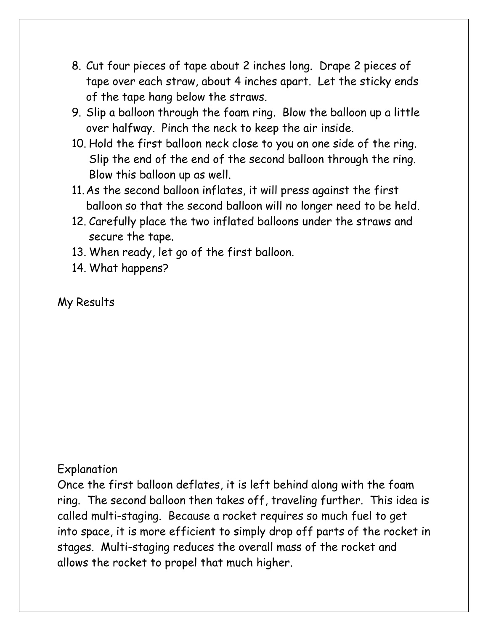- 8. Cut four pieces of tape about 2 inches long. Drape 2 pieces of tape over each straw, about 4 inches apart. Let the sticky ends of the tape hang below the straws.
- 9. Slip a balloon through the foam ring. Blow the balloon up a little over halfway. Pinch the neck to keep the air inside.
- 10. Hold the first balloon neck close to you on one side of the ring. Slip the end of the end of the second balloon through the ring. Blow this balloon up as well.
- 11.As the second balloon inflates, it will press against the first balloon so that the second balloon will no longer need to be held.
- 12. Carefully place the two inflated balloons under the straws and secure the tape.
- 13. When ready, let go of the first balloon.
- 14. What happens?

#### My Results

#### Explanation

Once the first balloon deflates, it is left behind along with the foam ring. The second balloon then takes off, traveling further. This idea is called multi-staging. Because a rocket requires so much fuel to get into space, it is more efficient to simply drop off parts of the rocket in stages. Multi-staging reduces the overall mass of the rocket and allows the rocket to propel that much higher.